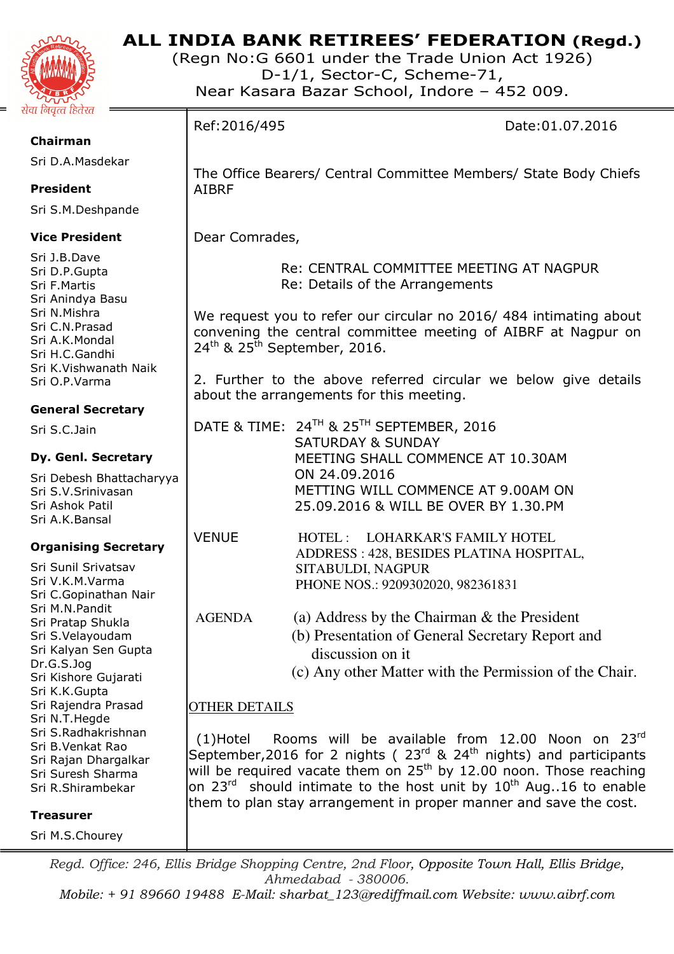

# **ALL INDIA BANK RETIREES' FEDERATION (Regd.)**

(Regn No:G 6601 under the Trade Union Act 1926) D-1/1, Sector-C, Scheme-71, Near Kasara Bazar School, Indore – 452 009.

**Chairman** 

Sri D.A.Masdekar

## **President**

Sri S.M.Deshpande

## **Vice President**

Sri J.B.Dave Sri D.P.Gupta Sri F.Martis Sri Anindya Basu Sri N.Mishra Sri C.N.Prasad Sri A.K.Mondal Sri H.C.Gandhi Sri K.Vishwanath Naik Sri O.P.Varma

# **General Secretary**

Sri S.C.Jain

## **Dy. Genl. Secretary**

Sri Debesh Bhattacharyya Sri S.V.Srinivasan Sri Ashok Patil Sri A.K.Bansal

## **Organising Secretary**

Sri Sunil Srivatsav Sri V.K.M.Varma Sri C.Gopinathan Nair Sri M.N.Pandit Sri Pratap Shukla Sri S.Velayoudam Sri Kalyan Sen Gupta Dr.G.S.Jog Sri Kishore Gujarati Sri K.K.Gupta Sri Rajendra Prasad Sri N.T.Hegde Sri S.Radhakrishnan Sri B.Venkat Rao Sri Rajan Dhargalkar Sri Suresh Sharma Sri R.Shirambekar

**Treasurer** 

Sri M.S.Chourey

Ref:2016/495 Date:01.07.2016 The Office Bearers/ Central Committee Members/ State Body Chiefs AIBRF Dear Comrades, Re: CENTRAL COMMITTEE MEETING AT NAGPUR Re: Details of the Arrangements We request you to refer our circular no 2016/ 484 intimating about convening the central committee meeting of AIBRF at Nagpur on  $24<sup>th</sup>$  &  $25<sup>th</sup>$  September, 2016. 2. Further to the above referred circular we below give details about the arrangements for this meeting. DATE & TIME: 24TH & 25TH SEPTEMBER, 2016 SATURDAY & SUNDAY MEETING SHALL COMMENCE AT 10.30AM ON 24.09.2016 METTING WILL COMMENCE AT 9.00AM ON 25.09.2016 & WILL BE OVER BY 1.30.PM VENUE HOTEL : LOHARKAR'S FAMILY HOTEL ADDRESS : 428, BESIDES PLATINA HOSPITAL, SITABULDI, NAGPUR PHONE NOS.: 9209302020, 982361831 AGENDA (a) Address by the Chairman & the President (b) Presentation of General Secretary Report and discussion on it (c) Any other Matter with the Permission of the Chair. OTHER DETAILS (1)Hotel Rooms will be available from 12.00 Noon on  $23^{\text{rd}}$ September, 2016 for 2 nights ( $23<sup>rd</sup>$  &  $24<sup>th</sup>$  nights) and participants will be required vacate them on  $25<sup>th</sup>$  by 12.00 noon. Those reaching on  $23^{rd}$  should intimate to the host unit by  $10^{th}$  Aug..16 to enable them to plan stay arrangement in proper manner and save the cost.

*Regd. Office: 246, Ellis Bridge Shopping Centre, 2nd Floor, Opposite Town Hall, Ellis Bridge, Ahmedabad - 380006.* 

*Mobile: + 91 89660 19488 E-Mail: sharbat\_123@rediffmail.com Website: www.aibrf.com*